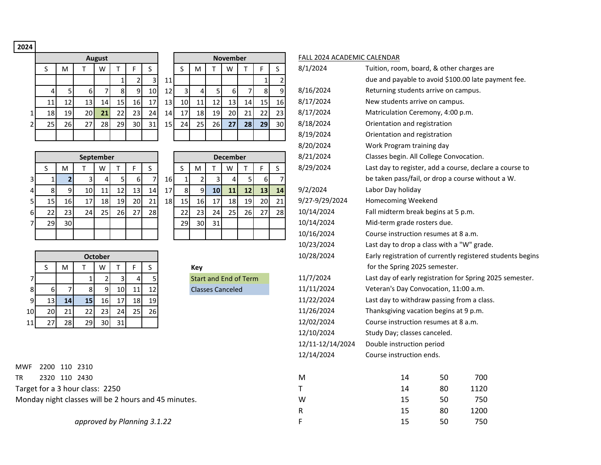**2024**

|                |    |    |    | <b>August</b> |    |                |                |
|----------------|----|----|----|---------------|----|----------------|----------------|
|                | S  | M  |    | W             |    | F              | S              |
|                |    |    |    |               | 1  | $\overline{2}$ |                |
|                | 4  | 5  | 6  | 7             | 8  | 9              | 1              |
|                | 11 | 12 | 13 | 14            | 15 | 16             | $\overline{1}$ |
| 1              | 18 | 19 | 20 | 21            | 22 | 23             | Ź              |
| $\overline{2}$ | 25 | 26 | 27 | 28            | 29 | 30             | ă              |
|                |    |    |    |               |    |                |                |

|    |      |                 | <b>August</b> |     |                 |                 |    |                |                |                | <b>November</b> |    |    |    | <b>FALL 2024</b> |
|----|------|-----------------|---------------|-----|-----------------|-----------------|----|----------------|----------------|----------------|-----------------|----|----|----|------------------|
| S  | M    |                 | W             |     |                 | S               |    | S              | M              |                | W               |    | F  | S  | 8/1/2024         |
|    |      |                 |               |     |                 | 3               | 11 |                |                |                |                 |    |    |    |                  |
| 4  | 5    | 6               |               | 8   | 9               | 10 <sub>1</sub> | 12 | $\overline{3}$ | $\overline{4}$ | 5 <sub>1</sub> | 6               |    | 8  | 9  | 8/16/202         |
| 11 | 12   | 13 <sup>1</sup> | 14            | 15  | 16              | 17              | 13 | 10             | 11             | 12             | 13              | 14 | 15 | 16 | 8/17/202         |
| 18 | 19 l | 20I             | 21            | 221 | 23.             | 24              | 14 | 17             | 18             | 19             | 20 <sup>1</sup> | 21 | 22 | 23 | 8/17/202         |
| 25 | 26   | 27              | 28 l          | 29  | 30 <sup>1</sup> | 31              | 15 | 24             | 25             | <b>26</b>      | 27              | 28 | 29 | 30 | 8/18/202         |
|    |      |                 |               |     |                 |                 |    |                |                |                |                 |    |    |    | 8/19/202         |

|                |     |     |                 | September  |     |                 |                 |                 |    |     |                 | <b>December</b> |                 |                 |    | 8/21/2024      | Classes begin. All Colleg |
|----------------|-----|-----|-----------------|------------|-----|-----------------|-----------------|-----------------|----|-----|-----------------|-----------------|-----------------|-----------------|----|----------------|---------------------------|
|                |     | м   |                 | W          |     |                 |                 |                 |    | M   |                 | W               |                 |                 |    | 8/29/2024      | Last day to register, add |
| 31             |     |     |                 |            |     | 61              |                 | 16 I            |    |     |                 |                 |                 |                 |    |                | be taken pass/fail, or di |
| $\overline{4}$ |     |     | 10              | 11         | 12  | 13 <sub>l</sub> | 14 <sub>1</sub> | 17 <sup>1</sup> |    |     | 10 <sub>l</sub> | 11              | 12              | 13 <sub>1</sub> | 14 | 9/2/2024       | Labor Day holiday         |
| 51             | 15  | 16I | 17              | 18 I       | 19  | 20I             | 21              | 18I             | 15 | 16  | 17              | 18              | 19 <sup>1</sup> | <b>20</b>       | 21 | 9/27-9/29/2024 | <b>Homecoming Weekend</b> |
| 61             |     | 231 | 24 <sub>1</sub> | <b>251</b> | 26I | 27              | <b>28</b>       |                 | 22 | 231 | 24              | 25              | <b>26</b>       | 27              | 28 | 10/14/2024     | Fall midterm break begi   |
|                | 29. | 30I |                 |            |     |                 |                 |                 | 29 | 30  | 31              |                 |                 |                 |    | 10/14/2024     | Mid-term grade rosters    |
|                |     |     |                 |            |     |                 |                 |                 |    |     |                 |                 |                 |                 |    | 10/16/2024     | Course instruction resu   |
|                |     |     |                 |            |     |                 |                 |                 |    |     |                 |                 |                 |                 |    |                |                           |

|              |                |    | <b>December</b> |    |    |   |
|--------------|----------------|----|-----------------|----|----|---|
| S            | M              |    | W               |    | F  | S |
| $\mathbf{1}$ | $\overline{2}$ | 3  | 4               | 5  | 6  |   |
| 8            | 9              | 10 | 11              | 12 | 13 | 1 |
| 15           | 16             | 17 | 18              | 19 | 20 | 2 |
| 22           | 23             | 24 | 25              | 26 | 27 | 2 |
| 29           | 30             | 31 |                 |    |    |   |
|              |                |    |                 |    |    |   |
|              |                |    |                 |    |    |   |

|    |    |                 |    | <b>October</b>  |    |    |    |
|----|----|-----------------|----|-----------------|----|----|----|
|    |    | M               |    | W               |    |    |    |
|    |    |                 |    |                 |    |    | 5  |
| 8  | 6  |                 | 8  | 9               |    |    | 12 |
| 9  | 13 | 14 <sub>1</sub> | 15 | 16 <sup>1</sup> |    | 18 | 19 |
| 10 | 20 | 21              | 22 | 23              | 24 | 25 | 26 |
| 11 | 27 | 28              | 29 | 30              |    |    |    |

MWF 2200 110 2310 TR 2320 110 2430 M 14 50 700 M 14 50 700 M 14 50 M 14 50 M 14 50 M 14 50 M 14 50 M 14 50 M 14 50 M 14 50 M 14 50 M 14 50 M 14 50 M 14 50 M 14 50 M 14 50 M 14 50 M 14 50 M 14 50 M 14 50 M 14 50 M 14 50 M 14 50 M 14 50 M 14 Target for a 3 hour class: 2250 T 14 80 1120 Monday night classes will be 2 hours and 45 minutes. W

## FALL 2024 ACADEMIC CALENDAR

|                         | S              | M              | T                                                  | W              | T  | F              | S                         |    | S              | M                       | T                            | W               | т              | F  | S              | 8/1/2024         | Tuition, room, board, & other charges are                  |    |      |  |
|-------------------------|----------------|----------------|----------------------------------------------------|----------------|----|----------------|---------------------------|----|----------------|-------------------------|------------------------------|-----------------|----------------|----|----------------|------------------|------------------------------------------------------------|----|------|--|
|                         |                |                |                                                    |                |    | $\overline{2}$ | $\ensuremath{\mathsf{3}}$ | 11 |                |                         |                              |                 |                |    |                |                  | due and payable to avoid \$100.00 late payment fee.        |    |      |  |
|                         | $\overline{4}$ | 5              | 6                                                  | $\overline{7}$ | 8  | $\overline{9}$ | 10                        | 12 | $\overline{3}$ | $\overline{\mathbf{4}}$ | 5 <sup>1</sup>               | $6 \mid$        | $\overline{7}$ | 8  | 9              | 8/16/2024        | Returning students arrive on campus.                       |    |      |  |
|                         | 11             | 12             | 13                                                 | 14             | 15 | 16             | 17                        | 13 | 10             | 11                      | 12                           | 13              | 14             | 15 | 16             | 8/17/2024        | New students arrive on campus.                             |    |      |  |
| $\mathbf 1$             | 18             | 19             | 20                                                 | 21             | 22 | 23             | 24                        | 14 | 17             | 18                      | 19                           | 20              | 21             | 22 | 23             | 8/17/2024        | Matriculation Ceremony, 4:00 p.m.                          |    |      |  |
| $\overline{2}$          | 25             | 26             | 27                                                 | 28             | 29 | 30             | 31                        | 15 | 24             | 25                      | 26                           | 27              | 28             | 29 | 30             | 8/18/2024        | Orientation and registration                               |    |      |  |
|                         |                |                |                                                    |                |    |                |                           |    |                |                         |                              |                 |                |    |                | 8/19/2024        | Orientation and registration                               |    |      |  |
|                         |                |                |                                                    |                |    |                |                           |    |                |                         |                              |                 |                |    |                | 8/20/2024        | Work Program training day                                  |    |      |  |
|                         |                |                | September                                          |                |    |                |                           |    |                |                         |                              | <b>December</b> |                |    |                | 8/21/2024        | Classes begin. All College Convocation.                    |    |      |  |
|                         | S              | M              | T.                                                 | W              | T  | F              | $\mathsf S$               |    | S              | ${\sf M}$               | T                            | W               | T.             | F  | S              | 8/29/2024        | Last day to register, add a course, declare a course to    |    |      |  |
| 3                       | $\mathbf{1}$   | $\overline{2}$ | 3                                                  | $\overline{4}$ |    | 6              | $\overline{7}$            | 16 | $\mathbf{1}$   | $\overline{2}$          |                              | $\overline{4}$  | 5              | 6  | $\overline{7}$ |                  | be taken pass/fail, or drop a course without a W.          |    |      |  |
| $\overline{\mathbf{r}}$ | 8              | 9              | 10                                                 | 11             | 12 | 13             | 14                        | 17 | 8              | 9                       | 10                           | $11$            | 12             | 13 | 14             | 9/2/2024         | Labor Day holiday                                          |    |      |  |
| 5                       | 15             | 16             | 17                                                 | 18             | 19 | 20             | 21                        | 18 | 15             | 16                      | 17                           | 18              | 19             | 20 | 21             | 9/27-9/29/2024   | Homecoming Weekend                                         |    |      |  |
| 6                       | 22             | 23             | 24                                                 | 25             | 26 | 27             | 28                        |    | 22             | 23                      | 24                           | 25              | 26             | 27 | 28             | 10/14/2024       | Fall midterm break begins at 5 p.m.                        |    |      |  |
| $\overline{7}$          | 29             | 30             |                                                    |                |    |                |                           |    | 29             | 30                      | 31                           |                 |                |    |                | 10/14/2024       | Mid-term grade rosters due.                                |    |      |  |
|                         |                |                |                                                    |                |    |                |                           |    |                |                         |                              |                 |                |    |                | 10/16/2024       | Course instruction resumes at 8 a.m.                       |    |      |  |
|                         |                |                |                                                    |                |    |                |                           |    |                |                         |                              |                 |                |    |                | 10/23/2024       | Last day to drop a class with a "W" grade.                 |    |      |  |
|                         |                |                |                                                    | <b>October</b> |    |                |                           |    |                |                         |                              |                 |                |    |                | 10/28/2024       | Early registration of currently registered students begins |    |      |  |
|                         | S              | M              | T                                                  | W              | Τ  | F              | $\mathsf{S}$              |    |                | Key                     |                              |                 |                |    |                |                  | for the Spring 2025 semester.                              |    |      |  |
| $\overline{7}$          |                |                | 1                                                  | $\overline{2}$ | 3  | $\overline{a}$ |                           |    |                |                         | <b>Start and End of Term</b> |                 |                |    |                | 11/7/2024        | Last day of early registration for Spring 2025 semester.   |    |      |  |
| 8                       | 6              | $\overline{7}$ | $\mathbf{8}$                                       | 9              | 10 | 11             | 12                        |    |                |                         | <b>Classes Canceled</b>      |                 |                |    |                | 11/11/2024       | Veteran's Day Convocation, 11:00 a.m.                      |    |      |  |
| 9                       | 13             | 14             | 15                                                 | 16             | 17 | 18             | 19                        |    |                |                         |                              |                 |                |    |                | 11/22/2024       | Last day to withdraw passing from a class.                 |    |      |  |
| 10                      | 20             | 21             | 22                                                 | 23             | 24 | 25             | 26                        |    |                |                         |                              |                 |                |    |                | 11/26/2024       | Thanksgiving vacation begins at 9 p.m.                     |    |      |  |
| 11                      | 27             | 28             | 29                                                 | 30             | 31 |                |                           |    |                |                         |                              |                 |                |    |                | 12/02/2024       | Course instruction resumes at 8 a.m.                       |    |      |  |
|                         |                |                |                                                    |                |    |                |                           |    |                |                         |                              |                 |                |    |                | 12/10/2024       | Study Day; classes canceled.                               |    |      |  |
|                         |                |                |                                                    |                |    |                |                           |    |                |                         |                              |                 |                |    |                | 12/11-12/14/2024 | Double instruction period                                  |    |      |  |
|                         |                |                |                                                    |                |    |                |                           |    |                |                         |                              |                 |                |    |                | 12/14/2024       | Course instruction ends.                                   |    |      |  |
| /F                      | 2200 110 2310  |                |                                                    |                |    |                |                           |    |                |                         |                              |                 |                |    |                |                  |                                                            |    |      |  |
|                         |                |                | 2320 110 2430                                      |                |    |                |                           |    |                |                         |                              |                 |                |    |                | M                | 14                                                         | 50 | 700  |  |
|                         |                |                | get for a 3 hour class: 2250                       |                |    |                |                           |    |                |                         |                              |                 |                |    |                | т                | 14                                                         | 80 | 1120 |  |
|                         |                |                | nday night classes will be 2 hours and 45 minutes. |                |    |                |                           |    |                |                         |                              |                 |                |    |                | W                | 15                                                         | 50 | 750  |  |
|                         |                |                |                                                    |                |    |                |                           |    |                |                         |                              |                 |                |    |                | R                | 15                                                         | 80 | 1200 |  |
|                         |                |                | approved by Planning 3.1.22                        |                |    |                |                           |    |                |                         |                              |                 |                |    |                | E                | 15                                                         | 50 | 750  |  |